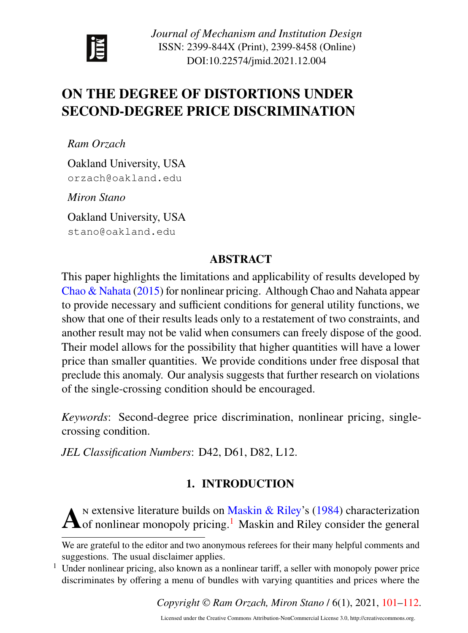<span id="page-0-1"></span>

*Journal of Mechanism and Institution Design* ISSN: 2399-844X (Print), 2399-8458 (Online) DOI:10.22574/jmid.2021.12.004

# <span id="page-0-0"></span>**ON THE DEGREE OF DISTORTIONS UNDER SECOND-DEGREE PRICE DISCRIMINATION**

*Ram Orzach*

Oakland University, USA orzach@oakland.edu

*Miron Stano*

Oakland University, USA stano@oakland.edu

## **ABSTRACT**

This paper highlights the limitations and applicability of results developed by [Chao & Nahata](#page-11-0) [\(2015\)](#page-11-0) for nonlinear pricing. Although Chao and Nahata appear to provide necessary and sufficient conditions for general utility functions, we show that one of their results leads only to a restatement of two constraints, and another result may not be valid when consumers can freely dispose of the good. Their model allows for the possibility that higher quantities will have a lower price than smaller quantities. We provide conditions under free disposal that preclude this anomaly. Our analysis suggests that further research on violations of the single-crossing condition should be encouraged.

*Keywords*: Second-degree price discrimination, nonlinear pricing, singlecrossing condition.

*JEL Classification Numbers*: D42, D61, D82, L12.

## **1. INTRODUCTION**

A <sup>N</sup> extensive literature builds on Maskin & Riley's (1984) characterization<br>of nonlinear monopoly pricing.<sup>1</sup> Maskin and Riley consider the general n extensive literature builds on [Maskin & Riley'](#page-11-1)s [\(1984\)](#page-11-1) characterization

<sup>1</sup> Under nonlinear pricing, also known as a nonlinear tariff, a seller with monopoly power price discriminates by offering a menu of bundles with varying quantities and prices where the

*Copyright © Ram Orzach, Miron Stano* / 6(1), 2021, [101–](#page-0-0)[112.](#page-11-2)

We are grateful to the editor and two anonymous referees for their many helpful comments and suggestions. The usual disclaimer applies.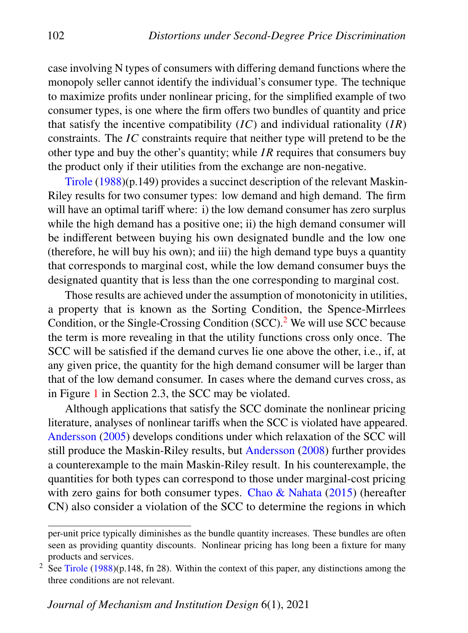case involving N types of consumers with differing demand functions where the monopoly seller cannot identify the individual's consumer type. The technique to maximize profits under nonlinear pricing, for the simplified example of two consumer types, is one where the firm offers two bundles of quantity and price that satisfy the incentive compatibility  $(IC)$  and individual rationality  $(IR)$ constraints. The  $IC$  constraints require that neither type will pretend to be the other type and buy the other's quantity; while  $IR$  requires that consumers buy the product only if their utilities from the exchange are non-negative.

[Tirole](#page-11-3) [\(1988\)](#page-11-3)(p.149) provides a succinct description of the relevant Maskin-Riley results for two consumer types: low demand and high demand. The firm will have an optimal tariff where: i) the low demand consumer has zero surplus while the high demand has a positive one; ii) the high demand consumer will be indifferent between buying his own designated bundle and the low one (therefore, he will buy his own); and iii) the high demand type buys a quantity that corresponds to marginal cost, while the low demand consumer buys the designated quantity that is less than the one corresponding to marginal cost.

Those results are achieved under the assumption of monotonicity in utilities, a property that is known as the Sorting Condition, the Spence-Mirrlees Condition, or the Single-Crossing Condition (SCC).<sup>[2](#page-0-1)</sup> We will use SCC because the term is more revealing in that the utility functions cross only once. The SCC will be satisfied if the demand curves lie one above the other, i.e., if, at any given price, the quantity for the high demand consumer will be larger than that of the low demand consumer. In cases where the demand curves cross, as in Figure [1](#page-6-0) in Section 2.3, the SCC may be violated.

Although applications that satisfy the SCC dominate the nonlinear pricing literature, analyses of nonlinear tariffs when the SCC is violated have appeared. [Andersson](#page-11-4) [\(2005\)](#page-11-4) develops conditions under which relaxation of the SCC will still produce the Maskin-Riley results, but [Andersson](#page-11-5) [\(2008\)](#page-11-5) further provides a counterexample to the main Maskin-Riley result. In his counterexample, the quantities for both types can correspond to those under marginal-cost pricing with zero gains for both consumer types. Chao  $\&$  Nahata [\(2015\)](#page-11-0) (hereafter CN) also consider a violation of the SCC to determine the regions in which

per-unit price typically diminishes as the bundle quantity increases. These bundles are often seen as providing quantity discounts. Nonlinear pricing has long been a fixture for many products and services.

<sup>&</sup>lt;sup>2</sup> See [Tirole](#page-11-3) [\(1988\)](#page-11-3)(p.148, fn 28). Within the context of this paper, any distinctions among the three conditions are not relevant.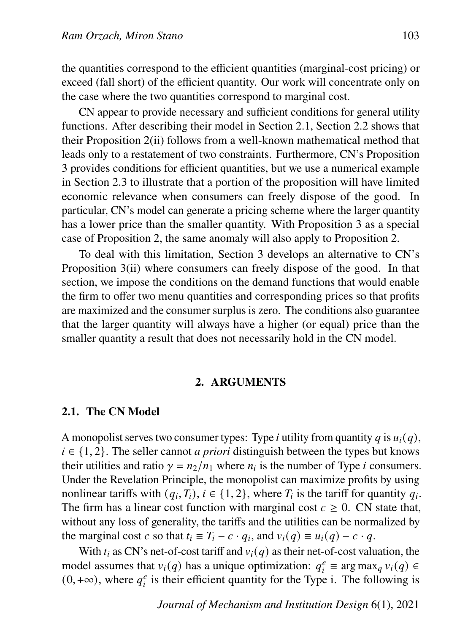the quantities correspond to the efficient quantities (marginal-cost pricing) or exceed (fall short) of the efficient quantity. Our work will concentrate only on the case where the two quantities correspond to marginal cost.

CN appear to provide necessary and sufficient conditions for general utility functions. After describing their model in Section 2.1, Section 2.2 shows that their Proposition 2(ii) follows from a well-known mathematical method that leads only to a restatement of two constraints. Furthermore, CN's Proposition 3 provides conditions for efficient quantities, but we use a numerical example in Section 2.3 to illustrate that a portion of the proposition will have limited economic relevance when consumers can freely dispose of the good. In particular, CN's model can generate a pricing scheme where the larger quantity has a lower price than the smaller quantity. With Proposition 3 as a special case of Proposition 2, the same anomaly will also apply to Proposition 2.

To deal with this limitation, Section 3 develops an alternative to CN's Proposition 3(ii) where consumers can freely dispose of the good. In that section, we impose the conditions on the demand functions that would enable the firm to offer two menu quantities and corresponding prices so that profits are maximized and the consumer surplus is zero. The conditions also guarantee that the larger quantity will always have a higher (or equal) price than the smaller quantity a result that does not necessarily hold in the CN model.

#### **2. ARGUMENTS**

#### **2.1. The CN Model**

A monopolist serves two consumer types: Type *i* utility from quantity q is  $u_i(q)$ ,  $i \in \{1, 2\}$ . The seller cannot *a priori* distinguish between the types but knows their utilities and ratio  $\gamma = n_2/n_1$  where  $n_i$  is the number of Type *i* consumers. Under the Revelation Principle, the monopolist can maximize profits by using nonlinear tariffs with  $(q_i, T_i)$ ,  $i \in \{1, 2\}$ , where  $T_i$  is the tariff for quantity  $q_i$ . The firm has a linear cost function with marginal cost  $c \geq 0$ . CN state that, without any loss of generality, the tariffs and the utilities can be normalized by the marginal cost c so that  $t_i \equiv T_i - c \cdot q_i$ , and  $v_i(q) \equiv u_i(q) - c \cdot q$ .

With  $t_i$  as CN's net-of-cost tariff and  $v_i(q)$  as their net-of-cost valuation, the model assumes that  $v_i(q)$  has a unique optimization:  $q_i^e$  $e_i^e$  = arg max<sub>q</sub>  $v_i(q)$   $\in$  $(0, +\infty)$ , where  $q_i^e$  $\frac{e}{i}$  is their efficient quantity for the Type i. The following is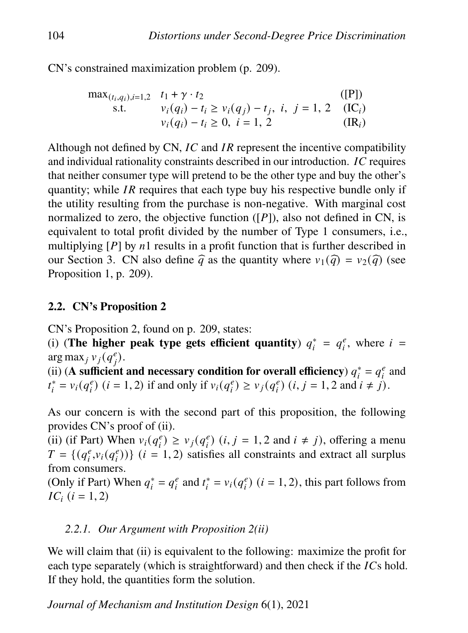CN's constrained maximization problem (p. 209).

$$
\max_{\substack{(t_i, q_i), i=1,2 \\ \text{s.t.}}} \quad \begin{array}{ll}\n t_1 + \gamma \cdot t_2 & \text{([P])} \\
 v_i(q_i) - t_i \ge v_i(q_j) - t_j, \ i, \ j = 1, 2 & \text{(IC}_i) \\
 v_i(q_i) - t_i \ge 0, \ i = 1, 2 & \text{(IR}_i)\n \end{array}
$$

Although not defined by CN,  $IC$  and  $IR$  represent the incentive compatibility and individual rationality constraints described in our introduction.  $IC$  requires that neither consumer type will pretend to be the other type and buy the other's quantity; while  $IR$  requires that each type buy his respective bundle only if the utility resulting from the purchase is non-negative. With marginal cost normalized to zero, the objective function  $([P])$ , also not defined in CN, is equivalent to total profit divided by the number of Type 1 consumers, i.e., multiplying  $[P]$  by n1 results in a profit function that is further described in our Section 3. CN also define  $\hat{q}$  as the quantity where  $v_1(\hat{q}) = v_2(\hat{q})$  (see Proposition 1, p. 209).

## **2.2. CN's Proposition 2**

CN's Proposition 2, found on p. 209, states:

(i) (The higher peak type gets efficient quantity)  $q_i^* = q_i^e$  $e_i^e$ , where  $i =$  $\arg \max_j v_j(q_i^e)$  $_{i}^{e}$ ).

(ii) (A sufficient and necessary condition for overall efficiency)  $q_i^* = q_i^e$  $i$ <sub>i</sub> and  $\vec{r}_i^* = v_i (q_i^e)$  $i \choose i$  (*i* = 1, 2) if and only if  $v_i(q_i^e)$  $\binom{e}{i} \geq v_j (q_i^e)$  $_{i}^{e}$ )  $(i, j = 1, 2 \text{ and } i \neq j)$ .

As our concern is with the second part of this proposition, the following provides CN's proof of (ii).

(ii) (if Part) When  $v_i(q_i^e)$  $\binom{e}{i} \geq v_j (q_i^e)$  $i$ <sup>e</sup>)  $(i, j = 1, 2$  and  $i \neq j)$ , offering a menu  $T = \{ (q_i^e)$  $e_i^e, v_i(q_i^e)$  $(e_i^e))$ } (*i* = 1, 2) satisfies all constraints and extract all surplus from consumers.

(Only if Part) When  $q_i^* = q_i^e$  $e_i^e$  and  $t_i^* = v_i (q_i^e)$  $i$ <sup>e</sup>) (*i* = 1, 2), this part follows from  $IC_i$   $(i = 1, 2)$ 

## *2.2.1. Our Argument with Proposition 2(ii)*

We will claim that (ii) is equivalent to the following: maximize the profit for each type separately (which is straightforward) and then check if the  $\textit{ICs}$  hold. If they hold, the quantities form the solution.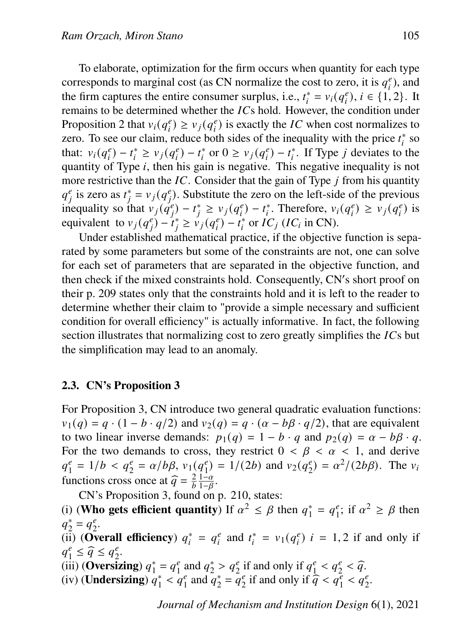To elaborate, optimization for the firm occurs when quantity for each type corresponds to marginal cost (as CN normalize the cost to zero, it is  $q_i^e$  $_i^e$ ), and the firm captures the entire consumer surplus, i.e.,  $t_i^* = v_i (q_i^e)$  $e_i^e$ ,  $i \in \{1, 2\}$ . It remains to be determined whether the  $ICS$  hold. However, the condition under Proposition 2 that  $v_i(q_i^e)$  $\binom{e}{i} \ge v_j (q_i^e)$  $e_i$ ) is exactly the *IC* when cost normalizes to zero. To see our claim, reduce both sides of the inequality with the price  $t_i^*$  so that:  $v_i(q_i^e)$  $(e_i^e) - t_i^* \ge v_j (q_i^e)$  $(v_i^e) - t_i^*$  or  $0 \ge v_j (q_i^e)$  $i<sup>e</sup>$ ) –  $t<sub>i</sub><sup>*</sup>$ . If Type *j* deviates to the quantity of Type  $i$ , then his gain is negative. This negative inequality is not more restrictive than the  $IC$ . Consider that the gain of Type  $\dot{j}$  from his quantity  $a^e$  $\int_{i}^{e}$  is zero as  $t_i^* = v_j (q_i^e)$  $e_i^e$ ). Substitute the zero on the left-side of the previous inequality so that  $v_j(q_i^e)$  $\sum_{i=1}^{e} (q_i^e - r_i^*)^2 = v_j (q_i^e - r_i^*)$  $e_i^e$ ) –  $t_i^*$ . Therefore,  $v_i(q_i^e)$  $\binom{e}{i} \geq v_j (q_i^e)$  $_i^e$ ) is equivalent to  $v_j(q_i^e)$  $(v_i^e) - t_i^* \ge v_j (q_i^e)$  $\int_{i}^{e}$ ) –  $t_i^*$  or  $IC_j$  (IC<sub>i</sub> in CN).

Under established mathematical practice, if the objective function is separated by some parameters but some of the constraints are not, one can solve for each set of parameters that are separated in the objective function, and then check if the mixed constraints hold. Consequently, CN's short proof on their p. 209 states only that the constraints hold and it is left to the reader to determine whether their claim to "provide a simple necessary and sufficient condition for overall efficiency" is actually informative. In fact, the following section illustrates that normalizing cost to zero greatly simplifies the  $\textit{ICs}$  but the simplification may lead to an anomaly.

## **2.3. CN's Proposition 3**

For Proposition 3, CN introduce two general quadratic evaluation functions:  $v_1(q) = q \cdot (1 - b \cdot q/2)$  and  $v_2(q) = q \cdot (\alpha - b\beta \cdot q/2)$ , that are equivalent to two linear inverse demands:  $p_1(q) = 1 - b \cdot q$  and  $p_2(q) = \alpha - b\beta \cdot q$ . For the two demands to cross, they restrict  $0 < \beta < \alpha < 1$ , and derive  $a_i^e$  $\frac{e}{1} = 1/b < q_2^e = \alpha/b\beta, \, v_1(q_1^e)$  $\binom{e}{1} = 1/(2b)$  and  $v_2(q_2^e)$  $e_2^e = \alpha^2/(2b\beta)$ . The  $v_i$ functions cross once at  $\hat{q} = \frac{2}{b} \frac{1-\alpha}{1-\beta}$  $rac{1-\alpha}{1-\beta}$ .

CN's Proposition 3, found on p. 210, states:

(i) (**Who gets efficient quantity**) If  $\alpha^2 \le \beta$  then  $q_1^*$  $i_1^* = q_1^e$  $i<sup>e</sup>$ ; if  $\alpha^2 \ge \beta$  then  $a_{\infty}^*$  $i_2^* = q_2^e$  $\frac{e}{2}$ .

(ii) (**Overall efficiency**)  $q_i^* = q_i^e$  $e_i^e$  and  $t_i^* = v_1(q_i^e)$  $i = 1, 2$  if and only if  $q_1^e \leq \widehat{q} \leq q_2^e.$ <br>(iii) (Oversig

- $q_1 = q_2$ .<br>(iii) **(Oversizing**)  $q_1^*$  $i_1^* = q_1^e$  $\frac{e}{1}$  and  $q_2^*$  $x_2^* > q_2^e$  if and only if  $q_1^e$  $\frac{e}{1} < q_2^e < \widehat{q}$ .
- (iv) (**Undersizing**)  $q_1^*$  $\frac{1}{1}$  <  $q_1^e$  and  $q_2^*$  $i_2^* = q_2^e$  $\frac{e}{2}$  if and only if  $\hat{q} < \hat{q}_1^e$  $\frac{e}{1} < \frac{1}{q_2^e}.$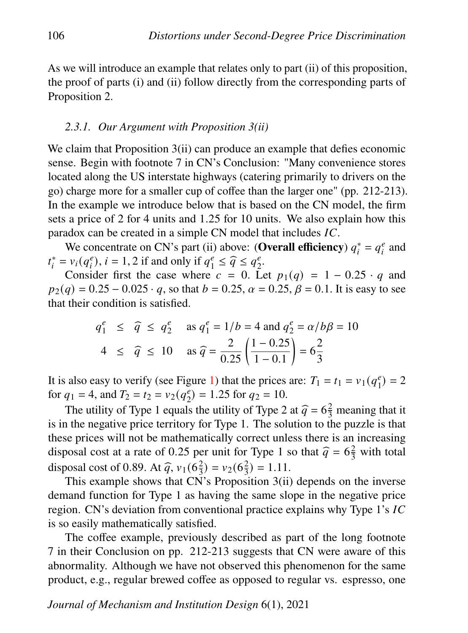As we will introduce an example that relates only to part (ii) of this proposition, the proof of parts (i) and (ii) follow directly from the corresponding parts of Proposition 2.

#### *2.3.1. Our Argument with Proposition 3(ii)*

We claim that Proposition 3(ii) can produce an example that defies economic sense. Begin with footnote 7 in CN's Conclusion: "Many convenience stores located along the US interstate highways (catering primarily to drivers on the go) charge more for a smaller cup of coffee than the larger one" (pp. 212-213). In the example we introduce below that is based on the CN model, the firm sets a price of 2 for 4 units and 1.25 for 10 units. We also explain how this paradox can be created in a simple CN model that includes  $IC$ .

We concentrate on CN's part (ii) above: (**Overall efficiency**)  $q_i^* = q_i^e$  $i$ <sub>i</sub> and  $t_i^* = v_i (q_i^e)$  $(e_i^e)$ ,  $i = 1, 2$  if and only if  $q_1^e$  $\hat{q} \leq \widehat{q} \leq q_2^e$  $\frac{e}{2}$ .

Consider first the case where  $c = 0$ . Let  $p_1(q) = 1 - 0.25 \cdot q$  and  $p_2(q) = 0.25 - 0.025 \cdot q$ , so that  $b = 0.25$ ,  $\alpha = 0.25$ ,  $\beta = 0.1$ . It is easy to see that their condition is satisfied.

$$
q_1^e
$$
  $\leq \hat{q} \leq q_2^e$  as  $q_1^e = 1/b = 4$  and  $q_2^e = \alpha/b\beta = 10$   
\n $4 \leq \hat{q} \leq 10$  as  $\hat{q} = \frac{2}{0.25} \left( \frac{1 - 0.25}{1 - 0.1} \right) = 6\frac{2}{3}$ 

It is also easy to verify (see Figure [1\)](#page-6-0) that the prices are:  $T_1 = t_1 = v_1 (q_1^e)$  $_1^e$ ) = 2 for  $q_1 = 4$ , and  $T_2 = t_2 = v_2 (q_2^e)$  $e_2^e$ ) = 1.25 for  $q_2$  = 10.

The utility of Type 1 equals the utility of Type 2 at  $\hat{q} = 6\frac{2}{3}$  meaning that it is in the negative price territory for Type 1. The solution to the puzzle is that these prices will not be mathematically correct unless there is an increasing disposal cost at a rate of 0.25 per unit for Type 1 so that  $\hat{q} = 6\frac{2}{3}$  with total disposal set of 0.80, At  $\hat{z} = \mu$  (6<sup>2</sup>), at 11 disposal cost of 0.89. At  $\hat{q}$ ,  $v_1 (6\frac{2}{3})$ <br>This example shows that CN  $(\frac{2}{3}) = v_2(6\frac{2}{3})$  $\frac{2}{3}$ ) = 1.11.

This example shows that CN's Proposition 3(ii) depends on the inverse demand function for Type 1 as having the same slope in the negative price region. CN's deviation from conventional practice explains why Type 1's IC is so easily mathematically satisfied.

The coffee example, previously described as part of the long footnote 7 in their Conclusion on pp. 212-213 suggests that CN were aware of this abnormality. Although we have not observed this phenomenon for the same product, e.g., regular brewed coffee as opposed to regular vs. espresso, one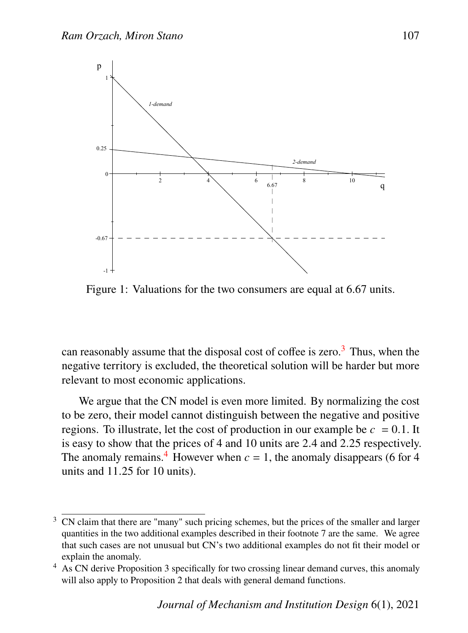<span id="page-6-0"></span>

Figure 1: Valuations for the two consumers are equal at 6.67 units.

can reasonably assume that the disposal cost of coffee is zero.<sup>[3](#page-0-1)</sup> Thus, when the negative territory is excluded, the theoretical solution will be harder but more relevant to most economic applications.

We argue that the CN model is even more limited. By normalizing the cost to be zero, their model cannot distinguish between the negative and positive regions. To illustrate, let the cost of production in our example be  $c = 0.1$ . It is easy to show that the prices of 4 and 10 units are 2.4 and 2.25 respectively. The anomaly remains.<sup>[4](#page-0-1)</sup> However when  $c = 1$ , the anomaly disappears (6 for 4) units and 11.25 for 10 units).

<sup>&</sup>lt;sup>3</sup> CN claim that there are "many" such pricing schemes, but the prices of the smaller and larger quantities in the two additional examples described in their footnote 7 are the same. We agree that such cases are not unusual but CN's two additional examples do not fit their model or explain the anomaly.

<sup>&</sup>lt;sup>4</sup> As CN derive Proposition 3 specifically for two crossing linear demand curves, this anomaly will also apply to Proposition 2 that deals with general demand functions.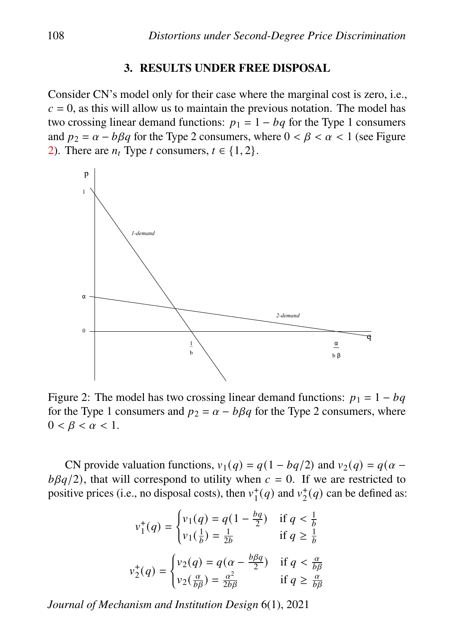#### **3. RESULTS UNDER FREE DISPOSAL**

Consider CN's model only for their case where the marginal cost is zero, i.e.,  $c = 0$ , as this will allow us to maintain the previous notation. The model has two crossing linear demand functions:  $p_1 = 1 - bq$  for the Type 1 consumers and  $p_2 = \alpha - b\beta q$  for the Type 2 consumers, where  $0 < \beta < \alpha < 1$  (see Figure [2\)](#page-7-0). There are  $n_t$  Type t consumers,  $t \in \{1, 2\}$ .

<span id="page-7-0"></span>

Figure 2: The model has two crossing linear demand functions:  $p_1 = 1 - bq$ for the Type 1 consumers and  $p_2 = \alpha - b\beta q$  for the Type 2 consumers, where  $0 < \beta < \alpha < 1$ .

CN provide valuation functions,  $v_1(q) = q(1 - bq/2)$  and  $v_2(q) = q(\alpha$  $b\beta q/2$ , that will correspond to utility when  $c = 0$ . If we are restricted to positive prices (i.e., no disposal costs), then  $v_1^+$  $i_1^+(q)$  and  $v_2^+$  $2^+(q)$  can be defined as:

$$
v_1^+(q) = \begin{cases} v_1(q) = q\left(1 - \frac{bq}{2}\right) & \text{if } q < \frac{1}{b} \\ v_1\left(\frac{1}{b}\right) = \frac{1}{2b} & \text{if } q \ge \frac{1}{b} \end{cases}
$$
\n
$$
v_2^+(q) = \begin{cases} v_2(q) = q\left(\alpha - \frac{b\beta q}{2}\right) & \text{if } q < \frac{\alpha}{b\beta} \\ v_2\left(\frac{\alpha}{b\beta}\right) = \frac{\alpha^2}{2b\beta} & \text{if } q \ge \frac{\alpha}{b\beta} \end{cases}
$$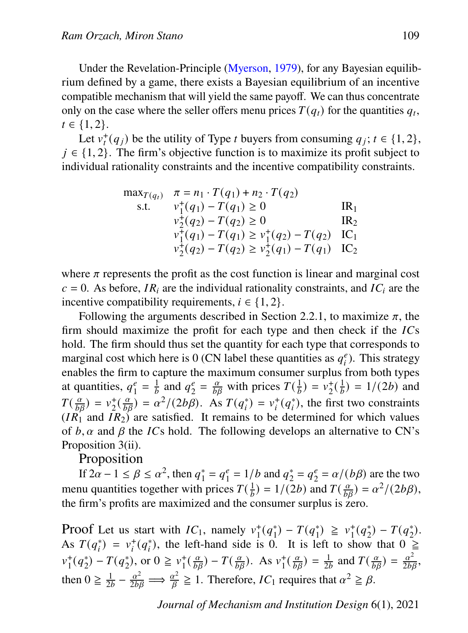Under the Revelation-Principle [\(Myerson,](#page-11-6) [1979\)](#page-11-6), for any Bayesian equilibrium defined by a game, there exists a Bayesian equilibrium of an incentive compatible mechanism that will yield the same payoff. We can thus concentrate only on the case where the seller offers menu prices  $T(q_t)$  for the quantities  $q_t$ ,  $t \in \{1, 2\}.$ 

Let  $v_t^+(q_i)$  be the utility of Type *t* buyers from consuming  $q_i$ ;  $t \in \{1, 2\}$ ,  $j \in \{1, 2\}$ . The firm's objective function is to maximize its profit subject to individual rationality constraints and the incentive compatibility constraints.

$$
\begin{array}{ll}\n\max_{T(q_t)} & \pi = n_1 \cdot T(q_1) + n_2 \cdot T(q_2) \\
\text{s.t.} & v_1^+(q_1) - T(q_1) \ge 0 & \text{IR}_1 \\
& v_2^+(q_2) - T(q_2) \ge 0 & \text{IR}_2 \\
& v_1^+(q_1) - T(q_1) \ge v_1^+(q_2) - T(q_2) & \text{IC}_1 \\
& v_2^+(q_2) - T(q_2) \ge v_2^+(q_1) - T(q_1) & \text{IC}_2\n\end{array}
$$

where  $\pi$  represents the profit as the cost function is linear and marginal cost  $c = 0$ . As before,  $IR_i$  are the individual rationality constraints, and  $IC_i$  are the incentive compatibility requirements,  $i \in \{1, 2\}$ .

Following the arguments described in Section 2.2.1, to maximize  $\pi$ , the firm should maximize the profit for each type and then check if the  $ICS$ hold. The firm should thus set the quantity for each type that corresponds to marginal cost which here is 0 (CN label these quantities as  $q_i^e$  $e_i^e$ ). This strategy enables the firm to capture the maximum consumer surplus from both types at quantities,  $q_1^e$  $\frac{e}{1} = \frac{1}{b}$  and  $q_2^e$  $\frac{e}{2} = \frac{\alpha}{b\beta}$  with prices  $T(\frac{1}{b}) = v_2^+$  $_{2}^{+}(\frac{1}{b}) = 1/(2b)$  and  $T(\frac{\alpha}{b\beta}) = v_2^+$  $\chi_2^{\text{+}}(\frac{\alpha}{b\beta}) = \alpha^2/(2b\beta)$ . As  $T(q_i^*) = v_i^+(q_i^*)$ , the first two constraints  $(IR_1 \text{ and } IR_2)$  are satisfied. It remains to be determined for which values of  $b, \alpha$  and  $\beta$  the ICs hold. The following develops an alternative to CN's Proposition 3(ii).

### Proposition

If  $2\alpha - 1 \leq \beta \leq \alpha^2$ , then  $q_1^*$  $i_1^* = q_1^e$  $_1^e = 1/b$  and  $q_2^*$  $_{2}^{*} = q_{2}^{e}$  $\frac{e}{2} = \alpha/(b\beta)$  are the two menu quantities together with prices  $T(\frac{1}{b}) = 1/(2b)$  and  $T(\frac{\alpha}{b\beta}) = \alpha^2/(2b\beta)$ , the firm's profits are maximized and the consumer surplus is zero.

Proof Let us start with  $IC_1$ , namely  $v_1^+$  ${}_{1}^{+}(q_{1}^{*}$ \*) –  $T(q_1^*)$  $v_1^*$ )  $\geq v_1^+$  ${}_{1}^{+}(q_{2}^{*})$  $x_2^*$ ) –  $T(q_2^*)$  $_{2}^{*}$ ). As  $T(q_i^*) = v_i^+(q_i^*)$ , the left-hand side is 0. It is left to show that  $0 \ge$  $v_1^+$  ${}_{1}^{+}(q_{2}^{*})$  $x_2^*$ ) –  $T(q_2^*)$  $y_2^*$ , or  $0 \geq v_1^+$  $T_1^{\left(\frac{\alpha}{b\beta}\right)} - T(\frac{\alpha}{b\beta})$ . As  $v_1^+$  $f_1^{\text{+}}(\frac{\alpha}{b\beta}) = \frac{1}{2b}$  and  $T(\frac{\alpha}{b\beta}) = \frac{\alpha^2}{2b\beta}$ , then  $0 \ge \frac{1}{2b} - \frac{\alpha^2}{2b\beta} \Longrightarrow \frac{\alpha^2}{\beta}$  $\frac{x^2}{\beta} \ge 1$ . Therefore,  $IC_1$  requires that  $\alpha^2 \ge \beta$ .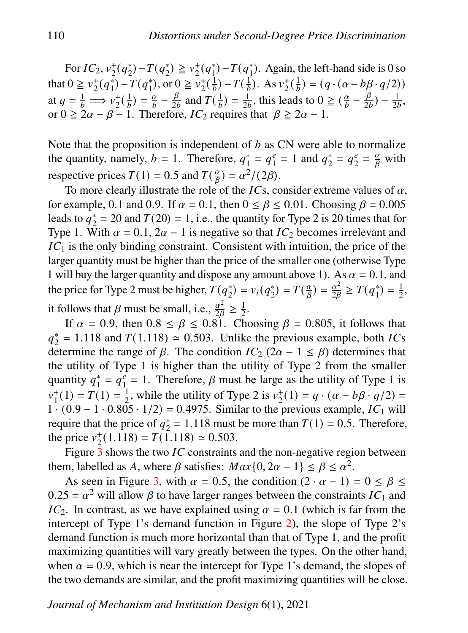For  $IC_2$ ,  $v_2^+$  ${}_{2}^{+}(q_{2}^{*})$  $_{2}^{*})-T(q_{2}^{*})$  $v_2^*$ )  $\ge v_2^+$  $_{2}^{+}(q_{1}^{*})$  $_{1}^{*})-T(q_{1}^{*})$  $_{1}^{*}$ ). Again, the left-hand side is 0 so that  $0 \geq v_2^+$  ${}_{2}^{+}(q_{1}^{*}$ \*) –  $T(q_1^*)$  $\binom{1}{1}$ , or  $0 \ge \frac{1}{2}$  $_{2}^{+}(\frac{1}{b})-T(\frac{1}{b})$ . As  $v_{2}^{+}$  $\sigma_2^{\dagger}(\frac{1}{b}) = (q \cdot (\alpha - b\beta \cdot q/2))$ at  $q = \frac{1}{b} \Longrightarrow v_2^+$  $\frac{1}{2}(\frac{1}{b}) = \frac{\alpha}{b}$  $\frac{\alpha}{b} - \frac{\beta}{2l}$  $\frac{\beta}{2b}$  and  $T(\frac{1}{b}) = \frac{1}{2b}$ , this leads to  $0 \geq (\frac{\alpha}{b})$  $\frac{\alpha}{b} - \frac{\beta}{2l}$  $(\frac{\beta}{2b}) - \frac{1}{2b},$ or  $0 \ge 2\alpha - \beta - 1$ . Therefore,  $IC_2$  requires that  $\beta \ge 2\alpha - 1$ .

Note that the proposition is independent of  $b$  as CN were able to normalize the quantity, namely,  $b = 1$ . Therefore,  $q_1^*$  $i_1^* = q_1^e$  $_1^e = 1$  and  $q_2^*$  $_{2}^{*} = q_{2}^{e}$  $\frac{e}{2} = \frac{\alpha}{\beta}$  with respective prices  $T(1) = 0.5$  and  $T(\frac{\alpha}{8})$  $\frac{\alpha}{\beta}$ ) =  $\alpha^2/(2\beta)$ .

To more clearly illustrate the role of the ICs, consider extreme values of  $\alpha$ , for example, 0.1 and 0.9. If  $\alpha = 0.1$ , then  $0 \le \beta \le 0.01$ . Choosing  $\beta = 0.005$ leads to  $q_2^*$  $z_2^* = 20$  and  $T(20) = 1$ , i.e., the quantity for Type 2 is 20 times that for Type 1. With  $\alpha = 0.1$ ,  $2\alpha - 1$  is negative so that  $IC_2$  becomes irrelevant and  $IC<sub>1</sub>$  is the only binding constraint. Consistent with intuition, the price of the larger quantity must be higher than the price of the smaller one (otherwise Type 1 will buy the larger quantity and dispose any amount above 1). As  $\alpha = 0.1$ , and the price for Type 2 must be higher,  $T(q_2^*)$  $v_i(q_2^*) = v_i(q_2^*)$  $i_2^*) = T(\frac{\alpha}{\beta})$  $\frac{\alpha}{\beta}$ ) =  $\frac{\alpha^2}{2\beta}$  $\frac{\alpha^2}{2\beta} \geq T(q_1^*)$  $_{1}^{*})=\frac{1}{2}$  $\frac{1}{2}$ , it follows that  $\beta$  must be small, i.e.,  $\frac{\alpha^2}{2\beta}$  $\frac{\alpha^2}{2\beta} \geq \frac{1}{2}$  $rac{1}{2}$ .

If  $\alpha = 0.9$ , then  $0.8 \le \beta \le 0.81$ . Choosing  $\beta = 0.805$ , it follows that  $a_{\infty}^*$  $\frac{1}{2}$  = 1.118 and  $T(1.118) \approx 0.503$ . Unlike the previous example, both *ICs* determine the range of  $\beta$ . The condition  $IC_2$  (2 $\alpha - 1 \leq \beta$ ) determines that the utility of Type 1 is higher than the utility of Type 2 from the smaller quantity  $q_1^*$  $i_1^* = q_1^e$  $\frac{e}{1} = 1$ . Therefore,  $\beta$  must be large as the utility of Type 1 is  $v^+$  $_1^+(1) = T(1) = \frac{1}{2}$  $\frac{1}{2}$ , while the utility of Type 2 is  $v_2^+$  $a_2^+(1) = q \cdot (\alpha - b\beta \cdot q/2) =$  $1 \cdot (0.9 - 1 \cdot 0.805 \cdot 1/2) = 0.4975$ . Similar to the previous example,  $IC_1$  will require that the price of  $q_2^*$  $_{2}^{*}$  = 1.118 must be more than  $T(1)$  = 0.5. Therefore, the price  $v_2^+$  $i_2^+(1.118) = T(\overline{1.118}) \approx 0.503.$ 

Figure  $3$  shows the two  $IC$  constraints and the non-negative region between them, labelled as A, where  $\beta$  satisfies:  $Max\{0, 2\alpha - 1\} \le \beta \le \alpha^2$ .

As seen in Figure [3,](#page-10-0) with  $\alpha = 0.5$ , the condition  $(2 \cdot \alpha - 1) = 0 \le \beta \le$  $0.25 = \alpha^2$  will allow  $\beta$  to have larger ranges between the constraints  $IC_1$  and  $IC<sub>2</sub>$ . In contrast, as we have explained using  $\alpha = 0.1$  (which is far from the intercept of Type 1's demand function in Figure [2\)](#page-7-0), the slope of Type 2's demand function is much more horizontal than that of Type 1, and the profit maximizing quantities will vary greatly between the types. On the other hand, when  $\alpha = 0.9$ , which is near the intercept for Type 1's demand, the slopes of the two demands are similar, and the profit maximizing quantities will be close.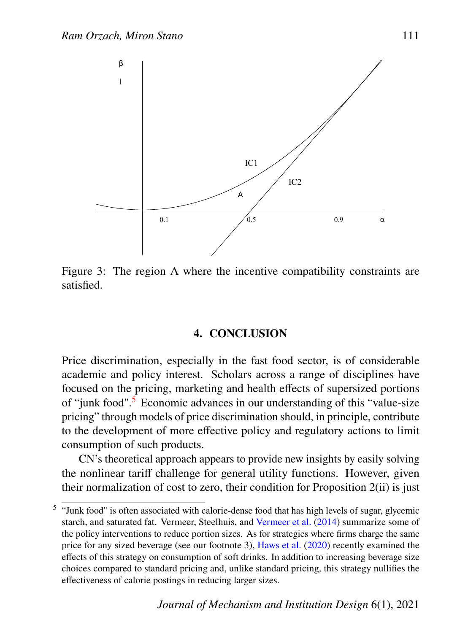<span id="page-10-0"></span>

Figure 3: The region A where the incentive compatibility constraints are satisfied.

## **4. CONCLUSION**

Price discrimination, especially in the fast food sector, is of considerable academic and policy interest. Scholars across a range of disciplines have focused on the pricing, marketing and health effects of supersized portions of "junk food".<sup>[5](#page-0-1)</sup> Economic advances in our understanding of this "value-size" pricing" through models of price discrimination should, in principle, contribute to the development of more effective policy and regulatory actions to limit consumption of such products.

CN's theoretical approach appears to provide new insights by easily solving the nonlinear tariff challenge for general utility functions. However, given their normalization of cost to zero, their condition for Proposition 2(ii) is just

<sup>&</sup>lt;sup>5</sup> "Junk food" is often associated with calorie-dense food that has high levels of sugar, glycemic starch, and saturated fat. Vermeer, Steelhuis, and [Vermeer et al.](#page-11-7) [\(2014\)](#page-11-7) summarize some of the policy interventions to reduce portion sizes. As for strategies where firms charge the same price for any sized beverage (see our footnote 3), [Haws et al.](#page-11-8) [\(2020\)](#page-11-8) recently examined the effects of this strategy on consumption of soft drinks. In addition to increasing beverage size choices compared to standard pricing and, unlike standard pricing, this strategy nullifies the effectiveness of calorie postings in reducing larger sizes.